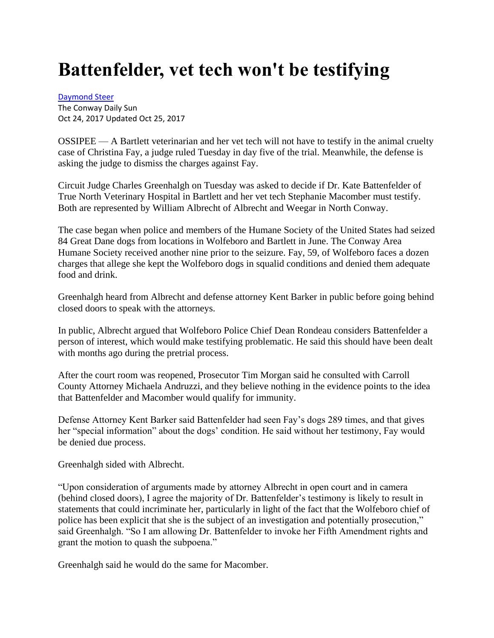## **Battenfelder, vet tech won't be testifying**

[Daymond Steer](https://www.conwaydailysun.com/users/profile/dsteer)

The Conway Daily Sun Oct 24, 2017 Updated Oct 25, 2017

OSSIPEE — A Bartlett veterinarian and her vet tech will not have to testify in the animal cruelty case of Christina Fay, a judge ruled Tuesday in day five of the trial. Meanwhile, the defense is asking the judge to dismiss the charges against Fay.

Circuit Judge Charles Greenhalgh on Tuesday was asked to decide if Dr. Kate Battenfelder of True North Veterinary Hospital in Bartlett and her vet tech Stephanie Macomber must testify. Both are represented by William Albrecht of Albrecht and Weegar in North Conway.

The case began when police and members of the Humane Society of the United States had seized 84 Great Dane dogs from locations in Wolfeboro and Bartlett in June. The Conway Area Humane Society received another nine prior to the seizure. Fay, 59, of Wolfeboro faces a dozen charges that allege she kept the Wolfeboro dogs in squalid conditions and denied them adequate food and drink.

Greenhalgh heard from Albrecht and defense attorney Kent Barker in public before going behind closed doors to speak with the attorneys.

In public, Albrecht argued that Wolfeboro Police Chief Dean Rondeau considers Battenfelder a person of interest, which would make testifying problematic. He said this should have been dealt with months ago during the pretrial process.

After the court room was reopened, Prosecutor Tim Morgan said he consulted with Carroll County Attorney Michaela Andruzzi, and they believe nothing in the evidence points to the idea that Battenfelder and Macomber would qualify for immunity.

Defense Attorney Kent Barker said Battenfelder had seen Fay's dogs 289 times, and that gives her "special information" about the dogs' condition. He said without her testimony, Fay would be denied due process.

Greenhalgh sided with Albrecht.

"Upon consideration of arguments made by attorney Albrecht in open court and in camera (behind closed doors), I agree the majority of Dr. Battenfelder's testimony is likely to result in statements that could incriminate her, particularly in light of the fact that the Wolfeboro chief of police has been explicit that she is the subject of an investigation and potentially prosecution," said Greenhalgh. "So I am allowing Dr. Battenfelder to invoke her Fifth Amendment rights and grant the motion to quash the subpoena."

Greenhalgh said he would do the same for Macomber.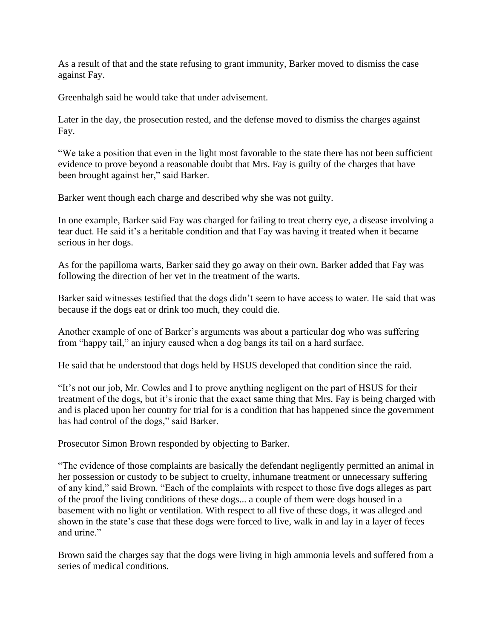As a result of that and the state refusing to grant immunity, Barker moved to dismiss the case against Fay.

Greenhalgh said he would take that under advisement.

Later in the day, the prosecution rested, and the defense moved to dismiss the charges against Fay.

"We take a position that even in the light most favorable to the state there has not been sufficient evidence to prove beyond a reasonable doubt that Mrs. Fay is guilty of the charges that have been brought against her," said Barker.

Barker went though each charge and described why she was not guilty.

In one example, Barker said Fay was charged for failing to treat cherry eye, a disease involving a tear duct. He said it's a heritable condition and that Fay was having it treated when it became serious in her dogs.

As for the papilloma warts, Barker said they go away on their own. Barker added that Fay was following the direction of her vet in the treatment of the warts.

Barker said witnesses testified that the dogs didn't seem to have access to water. He said that was because if the dogs eat or drink too much, they could die.

Another example of one of Barker's arguments was about a particular dog who was suffering from "happy tail," an injury caused when a dog bangs its tail on a hard surface.

He said that he understood that dogs held by HSUS developed that condition since the raid.

"It's not our job, Mr. Cowles and I to prove anything negligent on the part of HSUS for their treatment of the dogs, but it's ironic that the exact same thing that Mrs. Fay is being charged with and is placed upon her country for trial for is a condition that has happened since the government has had control of the dogs," said Barker.

Prosecutor Simon Brown responded by objecting to Barker.

"The evidence of those complaints are basically the defendant negligently permitted an animal in her possession or custody to be subject to cruelty, inhumane treatment or unnecessary suffering of any kind," said Brown. "Each of the complaints with respect to those five dogs alleges as part of the proof the living conditions of these dogs... a couple of them were dogs housed in a basement with no light or ventilation. With respect to all five of these dogs, it was alleged and shown in the state's case that these dogs were forced to live, walk in and lay in a layer of feces and urine."

Brown said the charges say that the dogs were living in high ammonia levels and suffered from a series of medical conditions.